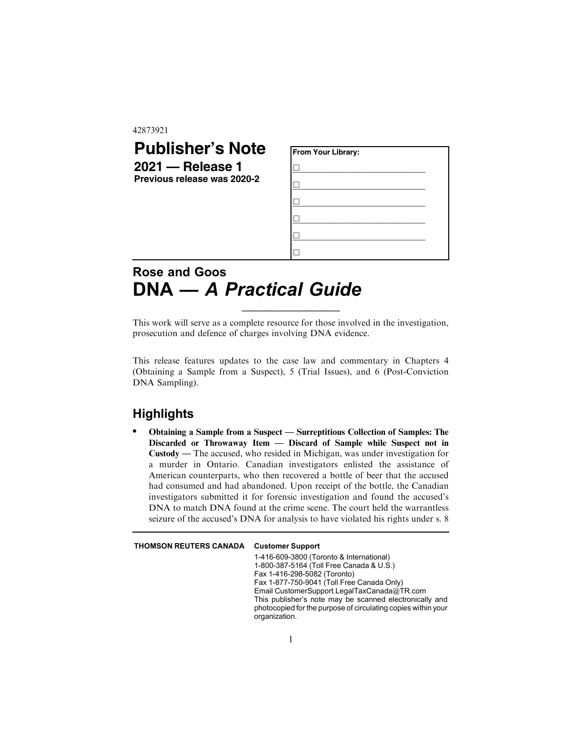#### 42873921

## **Publisher's Note 2021 — Release 1 Previous release was 2020-2 From Your Library:** &**\_\_\_\_\_\_\_\_\_\_\_\_\_\_\_\_\_\_\_\_\_\_\_\_\_\_\_\_\_\_\_\_** &**\_\_\_\_\_\_\_\_\_\_\_\_\_\_\_\_\_\_\_\_\_\_\_\_\_\_\_\_\_\_\_\_** &**\_\_\_\_\_\_\_\_\_\_\_\_\_\_\_\_\_\_\_\_\_\_\_\_\_\_\_\_\_\_\_\_** &**\_\_\_\_\_\_\_\_\_\_\_\_\_\_\_\_\_\_\_\_\_\_\_\_\_\_\_\_\_\_\_\_** &**\_\_\_\_\_\_\_\_\_\_\_\_\_\_\_\_\_\_\_\_\_\_\_\_\_\_\_\_\_\_\_\_**  $\Box$

# **Rose and Goos DNA —** *A Practical Guide*

This work will serve as a complete resource for those involved in the investigation, prosecution and defence of charges involving DNA evidence.

\_\_\_\_\_\_\_\_\_\_\_\_\_\_\_\_\_\_\_

This release features updates to the case law and commentary in Chapters 4 (Obtaining a Sample from a Suspect), 5 (Trial Issues), and 6 (Post-Conviction DNA Sampling).

## **Highlights**

. Obtaining a Sample from a Suspect — Surreptitious Collection of Samples: The Discarded or Throwaway Item — Discard of Sample while Suspect not in Custody — The accused, who resided in Michigan, was under investigation for a murder in Ontario. Canadian investigators enlisted the assistance of American counterparts, who then recovered a bottle of beer that the accused had consumed and had abandoned. Upon receipt of the bottle, the Canadian investigators submitted it for forensic investigation and found the accused's DNA to match DNA found at the crime scene. The court held the warrantless seizure of the accused's DNA for analysis to have violated his rights under s. 8

### THOMSON REUTERS CANADA Customer Support

1-416-609-3800 (Toronto & International) 1-800-387-5164 (Toll Free Canada & U.S.) Fax 1-416-298-5082 (Toronto) Fax 1-877-750-9041 (Toll Free Canada Only) Email CustomerSupport.LegalTaxCanada@TR.com This publisher's note may be scanned electronically and photocopied for the purpose of circulating copies within your organization.